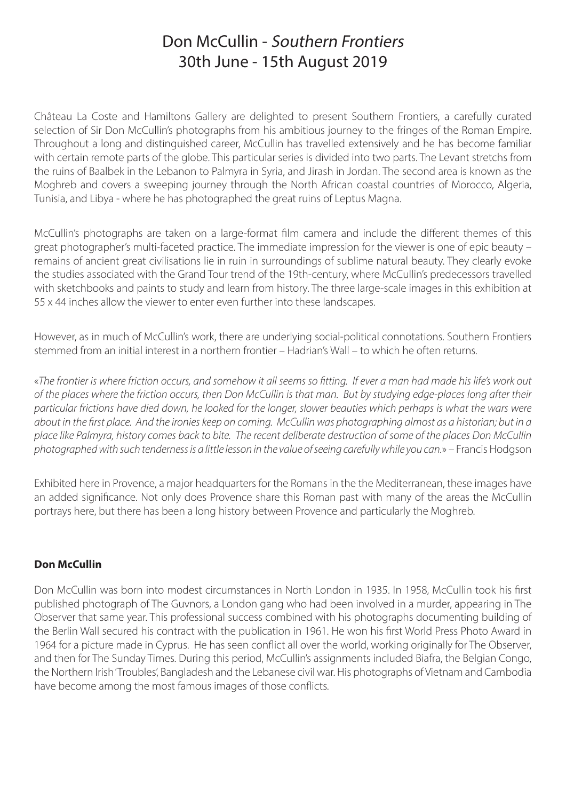## Don McCullin - Southern Frontiers 30th June - 15th August 2019

Château La Coste and Hamiltons Gallery are delighted to present Southern Frontiers, a carefully curated selection of Sir Don McCullin's photographs from his ambitious journey to the fringes of the Roman Empire. Throughout a long and distinguished career, McCullin has travelled extensively and he has become familiar with certain remote parts of the globe. This particular series is divided into two parts. The Levant stretchs from the ruins of Baalbek in the Lebanon to Palmyra in Syria, and Jirash in Jordan. The second area is known as the Moghreb and covers a sweeping journey through the North African coastal countries of Morocco, Algeria, Tunisia, and Libya - where he has photographed the great ruins of Leptus Magna.

McCullin's photographs are taken on a large-format film camera and include the different themes of this great photographer's multi-faceted practice. The immediate impression for the viewer is one of epic beauty – remains of ancient great civilisations lie in ruin in surroundings of sublime natural beauty. They clearly evoke the studies associated with the Grand Tour trend of the 19th-century, where McCullin's predecessors travelled with sketchbooks and paints to study and learn from history. The three large-scale images in this exhibition at 55 x 44 inches allow the viewer to enter even further into these landscapes.

However, as in much of McCullin's work, there are underlying social-political connotations. Southern Frontiers stemmed from an initial interest in a northern frontier – Hadrian's Wall – to which he often returns.

«*The frontier is where friction occurs, and somehow it all seems so fitting. If ever a man had made his life's work out of the places where the friction occurs, then Don McCullin is that man. But by studying edge-places long after their particular frictions have died down, he looked for the longer, slower beauties which perhaps is what the wars were about in the first place. And the ironies keep on coming. McCullin was photographing almost as a historian; but in a place like Palmyra, history comes back to bite. The recent deliberate destruction of some of the places Don McCullin photographed with such tenderness is a little lesson in the value of seeing carefully while you can.*» – Francis Hodgson

Exhibited here in Provence, a major headquarters for the Romans in the the Mediterranean, these images have an added significance. Not only does Provence share this Roman past with many of the areas the McCullin portrays here, but there has been a long history between Provence and particularly the Moghreb.

#### **Don McCullin**

Don McCullin was born into modest circumstances in North London in 1935. In 1958, McCullin took his first published photograph of The Guvnors, a London gang who had been involved in a murder, appearing in The Observer that same year. This professional success combined with his photographs documenting building of the Berlin Wall secured his contract with the publication in 1961. He won his first World Press Photo Award in 1964 for a picture made in Cyprus. He has seen conflict all over the world, working originally for The Observer, and then for The Sunday Times. During this period, McCullin's assignments included Biafra, the Belgian Congo, the Northern Irish 'Troubles', Bangladesh and the Lebanese civil war. His photographs of Vietnam and Cambodia have become among the most famous images of those conflicts.